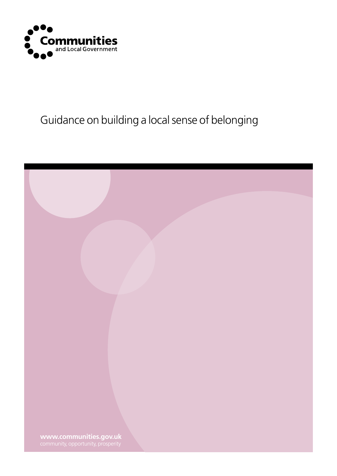

## Guidance on building a local sense of belonging

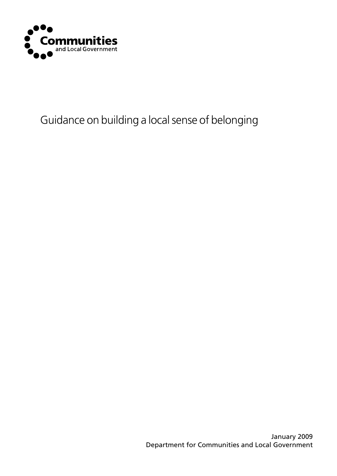

## Guidance on building a local sense of belonging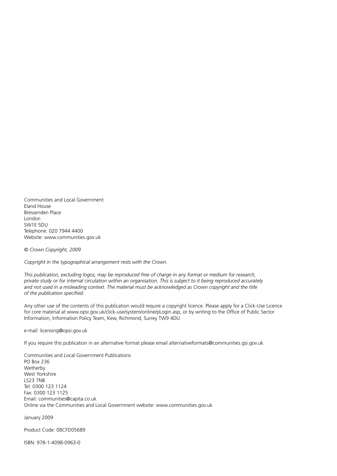Communities and Local Government Eland House Bressenden Place London SW1E 5DU Telephone: 020 7944 4400 Website: www.communities.gov.uk

*© Crown Copyright, 2009*

*Copyright in the typographical arrangement rests with the Crown.*

*This publication, excluding logos, may be reproduced free of charge in any format or medium for research, private study or for internal circulation within an organisation. This is subject to it being reproduced accurately*  and not used in a misleading context. The material must be acknowledged as Crown copyright and the title *of the publication specified.*

Any other use of the contents of this publication would require a copyright licence. Please apply for a Click-Use Licence for core material at www.opsi.gov.uk/click-use/system/online/pLogin.asp, or by writing to the Office of Public Sector Information, Information Policy Team, Kew, Richmond, Surrey TW9 4DU

e-mail: licensing@opsi.gov.uk

If you require this publication in an alternative format please email alternativeformats@communities.gsi.gov.uk

Communities and Local Government Publications PO Box 236 Wetherby West Yorkshire LS23 7NB Tel: 0300 123 1124 Fax: 0300 123 1125 Email: communities@capita.co.uk Online via the Communities and Local Government website: www.communities.gov.uk

January 2009

Product Code: 08CFD05689

ISBN: 978-1-4098-0963-0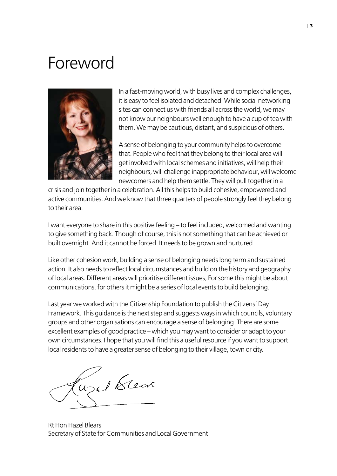# Foreword



In a fast-moving world, with busy lives and complex challenges, it is easy to feel isolated and detached. While social networking sites can connect us with friends all across the world, we may not know our neighbours well enough to have a cup of tea with them. We may be cautious, distant, and suspicious of others.

A sense of belonging to your community helps to overcome that. People who feel that they belong to their local area will get involved with local schemes and initiatives, will help their neighbours, will challenge inappropriate behaviour, will welcome newcomers and help them settle. They will pull together in a

crisis and join together in a celebration. All this helps to build cohesive, empowered and active communities. And we know that three quarters of people strongly feel they belong to their area.

I want everyone to share in this positive feeling – to feel included, welcomed and wanting to give something back. Though of course, this is not something that can be achieved or built overnight. And it cannot be forced. It needs to be grown and nurtured.

Like other cohesion work, building a sense of belonging needs long term and sustained action. It also needs to reflect local circumstances and build on the history and geography of local areas. Different areas will prioritise different issues, For some this might be about communications, for others it might be a series of local events to build belonging.

Last year we worked with the Citizenship Foundation to publish the Citizens' Day Framework. This guidance is the next step and suggests ways in which councils, voluntary groups and other organisations can encourage a sense of belonging. There are some excellent examples of good practice – which you may want to consider or adapt to your own circumstances. I hope that you will find this a useful resource if you want to support local residents to have a greater sense of belonging to their village, town or city.

Welklear

Rt Hon Hazel Blears Secretary of State for Communities and Local Government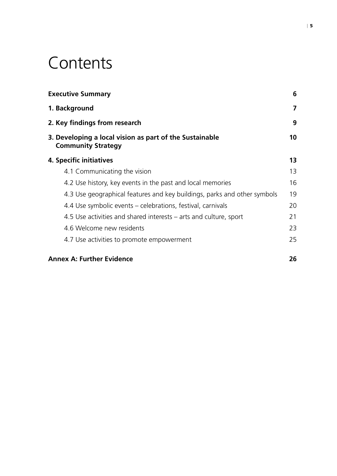# **Contents**

| <b>Executive Summary</b><br>1. Background<br>2. Key findings from research<br>3. Developing a local vision as part of the Sustainable<br><b>Community Strategy</b> | 6  |
|--------------------------------------------------------------------------------------------------------------------------------------------------------------------|----|
|                                                                                                                                                                    | 7  |
|                                                                                                                                                                    | 9  |
|                                                                                                                                                                    | 10 |
| 4. Specific initiatives                                                                                                                                            | 13 |
| 4.1 Communicating the vision                                                                                                                                       | 13 |
| 4.2 Use history, key events in the past and local memories                                                                                                         | 16 |
| 4.3 Use geographical features and key buildings, parks and other symbols                                                                                           | 19 |
| 4.4 Use symbolic events – celebrations, festival, carnivals                                                                                                        | 20 |
| 4.5 Use activities and shared interests – arts and culture, sport                                                                                                  | 21 |
| 4.6 Welcome new residents                                                                                                                                          | 23 |
| 4.7 Use activities to promote empowerment                                                                                                                          | 25 |
| <b>Annex A: Further Evidence</b>                                                                                                                                   | 26 |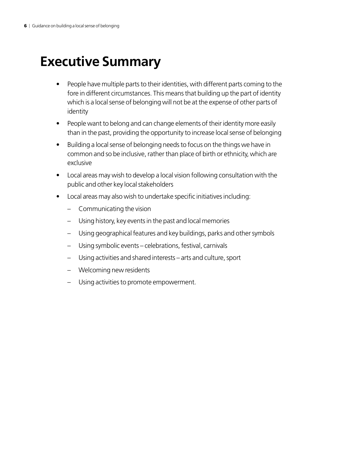## <span id="page-5-0"></span>**Executive Summary**

- People have multiple parts to their identities, with different parts coming to the fore in different circumstances. This means that building up the part of identity which is a local sense of belonging will not be at the expense of other parts of identity
- People want to belong and can change elements of their identity more easily than in the past, providing the opportunity to increase local sense of belonging
- Building a local sense of belonging needs to focus on the things we have in common and so be inclusive, rather than place of birth or ethnicity, which are exclusive
- Local areas may wish to develop a local vision following consultation with the public and other key local stakeholders
- Local areas may also wish to undertake specific initiatives including:
	- Communicating the vision
	- Using history, key events in the past and local memories
	- Using geographical features and key buildings, parks and other symbols
	- Using symbolic events celebrations, festival, carnivals
	- Using activities and shared interests arts and culture, sport
	- Welcoming new residents
	- Using activities to promote empowerment.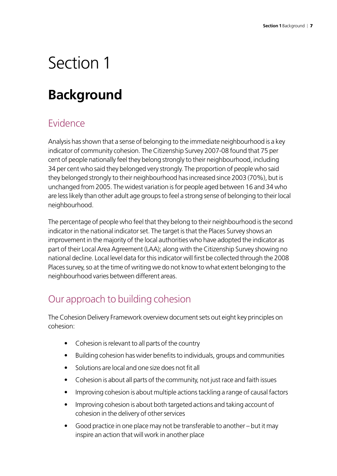# <span id="page-6-0"></span>Section 1

## **Background**

### Evidence

Analysis has shown that a sense of belonging to the immediate neighbourhood is a key indicator of community cohesion. The Citizenship Survey 2007-08 found that 75 per cent of people nationally feel they belong strongly to their neighbourhood, including 34 per cent who said they belonged very strongly. The proportion of people who said they belonged strongly to their neighbourhood has increased since 2003 (70%), but is unchanged from 2005. The widest variation is for people aged between 16 and 34 who are less likely than other adult age groups to feel a strong sense of belonging to their local neighbourhood.

The percentage of people who feel that they belong to their neighbourhood is the second indicator in the national indicator set. The target is that the Places Survey shows an improvement in the majority of the local authorities who have adopted the indicator as part of their Local Area Agreement (LAA); along with the Citizenship Survey showing no national decline. Local level data for this indicator will first be collected through the 2008 Places survey, so at the time of writing we do not know to what extent belonging to the neighbourhood varies between different areas.

## Our approach to building cohesion

The Cohesion Delivery Framework overview document sets out eight key principles on cohesion:

- Cohesion is relevant to all parts of the country
- Building cohesion has wider benefits to individuals, groups and communities
- Solutions are local and one size does not fit all
- Cohesion is about all parts of the community, not just race and faith issues
- Improving cohesion is about multiple actions tackling a range of causal factors
- Improving cohesion is about both targeted actions and taking account of cohesion in the delivery of other services
- $\bullet$  Good practice in one place may not be transferable to another but it may inspire an action that will work in another place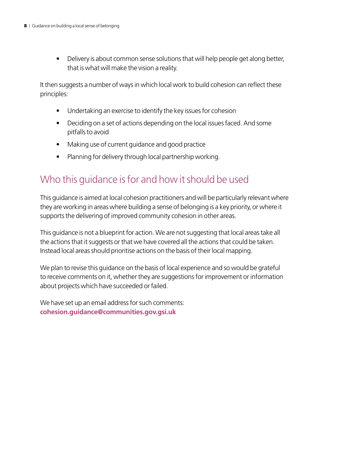• Delivery is about common sense solutions that will help people get along better, that is what will make the vision a reality.

It then suggests a number of ways in which local work to build cohesion can reflect these principles:

- Undertaking an exercise to identify the key issues for cohesion
- Deciding on a set of actions depending on the local issues faced. And some pitfalls to avoid
- Making use of current guidance and good practice
- Planning for delivery through local partnership working.

### Who this guidance is for and how it should be used

This guidance is aimed at local cohesion practitioners and will be particularly relevant where they are working in areas where building a sense of belonging is a key priority, or where it supports the delivering of improved community cohesion in other areas.

This guidance is not a blueprint for action. We are not suggesting that local areas take all the actions that it suggests or that we have covered all the actions that could be taken. Instead local areas should prioritise actions on the basis of their local mapping.

We plan to revise this guidance on the basis of local experience and so would be grateful to receive comments on it, whether they are suggestions for improvement or information about projects which have succeeded or failed.

We have set up an email address for such comments: **[cohesion.guidance@communities.gov.gsi.uk](mailto:cohesion.guidance@communities.gsi.gov.uk)**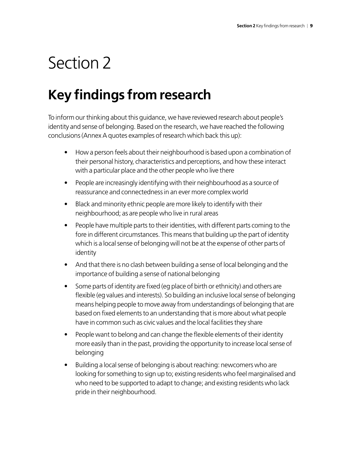# <span id="page-8-0"></span>Section 2

# **Key findings from research**

To inform our thinking about this guidance, we have reviewed research about people's identity and sense of belonging. Based on the research, we have reached the following conclusions (Annex A quotes examples of research which back this up):

- How a person feels about their neighbourhood is based upon a combination of their personal history, characteristics and perceptions, and how these interact with a particular place and the other people who live there
- People are increasingly identifying with their neighbourhood as a source of reassurance and connectedness in an ever more complex world
- Black and minority ethnic people are more likely to identify with their neighbourhood; as are people who live in rural areas
- People have multiple parts to their identities, with different parts coming to the fore in different circumstances. This means that building up the part of identity which is a local sense of belonging will not be at the expense of other parts of identity
- And that there is no clash between building a sense of local belonging and the importance of building a sense of national belonging
- Some parts of identity are fixed (eg place of birth or ethnicity) and others are flexible (eg values and interests). So building an inclusive local sense of belonging means helping people to move away from understandings of belonging that are based on fixed elements to an understanding that is more about what people have in common such as civic values and the local facilities they share
- People want to belong and can change the flexible elements of their identity more easily than in the past, providing the opportunity to increase local sense of belonging
- Building a local sense of belonging is about reaching: newcomers who are looking for something to sign up to; existing residents who feel marginalised and who need to be supported to adapt to change; and existing residents who lack pride in their neighbourhood.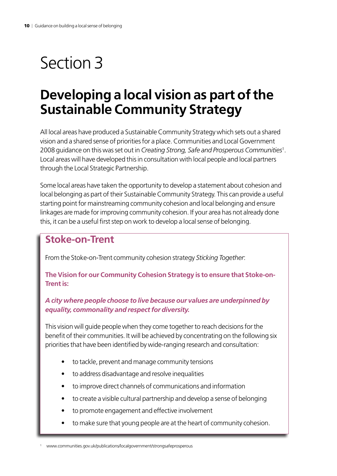# <span id="page-9-0"></span>Section 3

## **Developing a local vision as part of the Sustainable Community Strategy**

All local areas have produced a Sustainable Community Strategy which sets out a shared vision and a shared sense of priorities for a place. Communities and Local Government 2008 guidance on this was set out in *Creating Strong, Safe and Prosperous Communities*<sup>1</sup> . Local areas will have developed this in consultation with local people and local partners through the Local Strategic Partnership.

Some local areas have taken the opportunity to develop a statement about cohesion and local belonging as part of their Sustainable Community Strategy. This can provide a useful starting point for mainstreaming community cohesion and local belonging and ensure linkages are made for improving community cohesion. If your area has not already done this, it can be a useful first step on work to develop a local sense of belonging.

#### **Stoke-on-Trent**

From the Stoke-on-Trent community cohesion strategy *Sticking Together*:

**The Vision for our Community Cohesion Strategy is to ensure that Stoke-on-Trent is:**

#### *A city where people choose to live because our values are underpinned by equality, commonality and respect for diversity.*

This vision will guide people when they come together to reach decisions for the benefit of their communities. It will be achieved by concentrating on the following six priorities that have been identified by wide-ranging research and consultation:

- to tackle, prevent and manage community tensions
- to address disadvantage and resolve inequalities
- to improve direct channels of communications and information
- to create a visible cultural partnership and develop a sense of belonging
- to promote engagement and effective involvement
- to make sure that young people are at the heart of community cohesion.

<sup>1</sup> www.communities.gov.uk/publications/localgovernment/strongsafeprosperous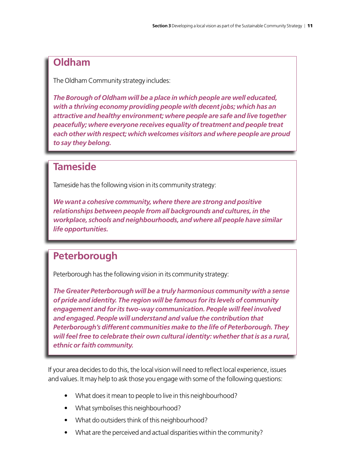### **Oldham**

The Oldham Community strategy includes:

*The Borough of Oldham will be a place in which people are well educated, with a thriving economy providing people with decent jobs; which has an attractive and healthy environment; where people are safe and live together peacefully; where everyone receives equality of treatment and people treat each other with respect; which welcomes visitors and where people are proud to say they belong.*

#### **Tameside**

Tameside has the following vision in its community strategy:

*We want a cohesive community, where there are strong and positive relationships between people from all backgrounds and cultures, in the workplace, schools and neighbourhoods, and where all people have similar life opportunities.*

### **Peterborough**

Peterborough has the following vision in its community strategy:

*The Greater Peterborough will be a truly harmonious community with a sense of pride and identity. The region will be famous for its levels of community engagement and for its two-way communication. People will feel involved and engaged. People will understand and value the contribution that Peterborough's different communities make to the life of Peterborough. They will feel free to celebrate their own cultural identity: whether that is as a rural, ethnic or faith community.*

If your area decides to do this, the local vision will need to reflect local experience, issues and values. It may help to ask those you engage with some of the following questions:

- What does it mean to people to live in this neighbourhood?
- What symbolises this neighbourhood?
- What do outsiders think of this neighbourhood?
- What are the perceived and actual disparities within the community?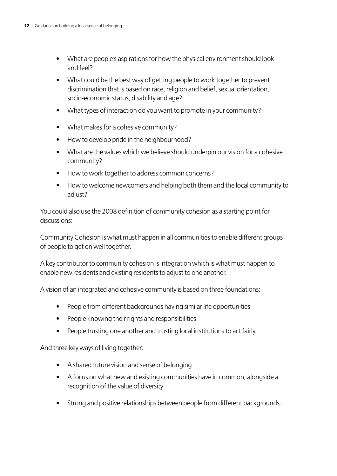- What are people's aspirations for how the physical environment should look and feel?
- What could be the best way of getting people to work together to prevent discrimination that is based on race, religion and belief, sexual orientation, socio-economic status, disability and age?
- What types of interaction do you want to promote in your community?
- • What makes for a cohesive community?
- How to develop pride in the neighbourhood?
- What are the values which we believe should underpin our vision for a cohesive community?
- How to work together to address common concerns?
- How to welcome newcomers and helping both them and the local community to adjust?

You could also use the 2008 definition of community cohesion as a starting point for discussions:

Community Cohesion is what must happen in all communities to enable different groups of people to get on well together.

A key contributor to community cohesion is integration which is what must happen to enable new residents and existing residents to adjust to one another.

A vision of an integrated and cohesive community is based on three foundations:

- People from different backgrounds having similar life opportunities
- People knowing their rights and responsibilities
- People trusting one another and trusting local institutions to act fairly.

And three key ways of living together:

- • A shared future vision and sense of belonging
- A focus on what new and existing communities have in common, alongside a recognition of the value of diversity
- Strong and positive relationships between people from different backgrounds.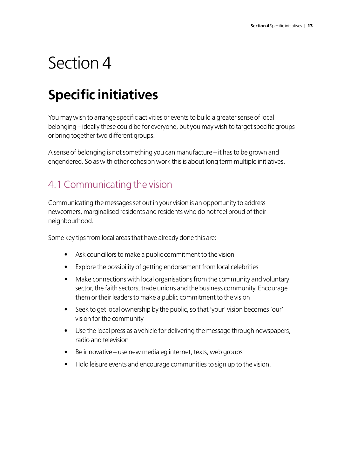# <span id="page-12-0"></span>Section 4

# **Specific initiatives**

You may wish to arrange specific activities or events to build a greater sense of local belonging – ideally these could be for everyone, but you may wish to target specific groups or bring together two different groups.

A sense of belonging is not something you can manufacture – it has to be grown and engendered. So as with other cohesion work this is about long term multiple initiatives.

### 4.1 Communicating the vision

Communicating the messages set out in your vision is an opportunity to address newcomers, marginalised residents and residents who do not feel proud of their neighbourhood.

Some key tips from local areas that have already done this are:

- Ask councillors to make a public commitment to the vision
- Explore the possibility of getting endorsement from local celebrities
- Make connections with local organisations from the community and voluntary sector, the faith sectors, trade unions and the business community. Encourage them or their leaders to make a public commitment to the vision
- Seek to get local ownership by the public, so that 'your' vision becomes 'our' vision for the community
- Use the local press as a vehicle for delivering the message through newspapers, radio and television
- $\bullet$  Be innovative use new media eg internet, texts, web groups
- Hold leisure events and encourage communities to sign up to the vision.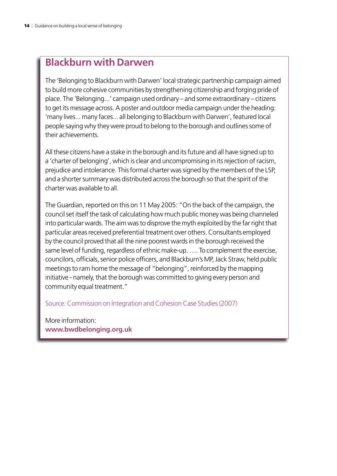#### **Blackburn with Darwen**

The 'Belonging to Blackburn with Darwen' local strategic partnership campaign aimed to build more cohesive communities by strengthening citizenship and forging pride of place. The 'Belonging...' campaign used ordinary – and some extraordinary – citizens to get its message across. A poster and outdoor media campaign under the heading: 'many lives... many faces... all belonging to Blackburn with Darwen', featured local people saying why they were proud to belong to the borough and outlines some of their achievements.

All these citizens have a stake in the borough and its future and all have signed up to a 'charter of belonging', which is clear and uncompromising in its rejection of racism, prejudice and intolerance. This formal charter was signed by the members of the LSP, and a shorter summary was distributed across the borough so that the spirit of the charter was available to all.

The Guardian, reported on this on 11 May 2005: "On the back of the campaign, the council set itself the task of calculating how much public money was being channeled into particular wards. The aim was to disprove the myth exploited by the far right that particular areas received preferential treatment over others. Consultants employed by the council proved that all the nine poorest wards in the borough received the same level of funding, regardless of ethnic make-up. …. To complement the exercise, councilors, officials, senior police officers, and Blackburn's MP, Jack Straw, held public meetings to ram home the message of "belonging", reinforced by the mapping initiative - namely, that the borough was committed to giving every person and community equal treatment."

Source: Commission on Integration and Cohesion Case Studies (2007)

More information: **www.bwdbelonging.org.uk**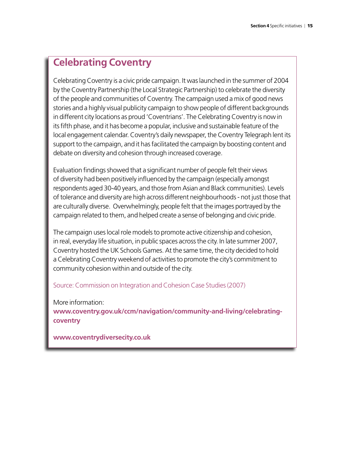#### **Celebrating Coventry**

Celebrating Coventry is a civic pride campaign. It was launched in the summer of 2004 by the Coventry Partnership (the Local Strategic Partnership) to celebrate the diversity of the people and communities of Coventry. The campaign used a mix of good news stories and a highly visual publicity campaign to show people of different backgrounds in different city locations as proud 'Coventrians'. The Celebrating Coventry is now in its fifth phase, and it has become a popular, inclusive and sustainable feature of the local engagement calendar. Coventry's daily newspaper, the Coventry Telegraph lent its support to the campaign, and it has facilitated the campaign by boosting content and debate on diversity and cohesion through increased coverage.

Evaluation findings showed that a significant number of people felt their views of diversity had been positively influenced by the campaign (especially amongst respondents aged 30-40 years, and those from Asian and Black communities). Levels of tolerance and diversity are high across different neighbourhoods - not just those that are culturally diverse. Overwhelmingly, people felt that the images portrayed by the campaign related to them, and helped create a sense of belonging and civic pride.

The campaign uses local role models to promote active citizenship and cohesion, in real, everyday life situation, in public spaces across the city. In late summer 2007, Coventry hosted the UK Schools Games. At the same time, the city decided to hold a Celebrating Coventry weekend of activities to promote the city's commitment to community cohesion within and outside of the city.

#### Source: Commission on Integration and Cohesion Case Studies (2007)

More information:

**www.coventry.gov.uk/ccm/navigation/community-and-living/celebratingcoventry** 

**www.coventrydiversecity.co.uk**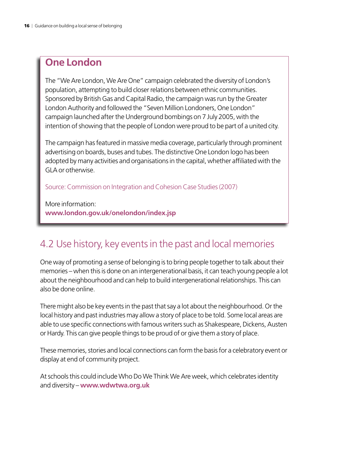#### <span id="page-15-0"></span>**One London**

The "We Are London, We Are One" campaign celebrated the diversity of London's population, attempting to build closer relations between ethnic communities. Sponsored by British Gas and Capital Radio, the campaign was run by the Greater London Authority and followed the "Seven Million Londoners, One London" campaign launched after the Underground bombings on 7 July 2005, with the intention of showing that the people of London were proud to be part of a united city.

The campaign has featured in massive media coverage, particularly through prominent advertising on boards, buses and tubes. The distinctive One London logo has been adopted by many activities and organisations in the capital, whether affiliated with the GLA or otherwise.

Source: Commission on Integration and Cohesion Case Studies (2007)

More information: **www.london.gov.uk/onelondon/index.jsp**

#### 4.2 Use history, key events in the past and local memories

One way of promoting a sense of belonging is to bring people together to talk about their memories – when this is done on an intergenerational basis, it can teach young people a lot about the neighbourhood and can help to build intergenerational relationships. This can also be done online.

There might also be key events in the past that say a lot about the neighbourhood. Or the local history and past industries may allow a story of place to be told. Some local areas are able to use specific connections with famous writers such as Shakespeare, Dickens, Austen or Hardy. This can give people things to be proud of or give them a story of place.

These memories, stories and local connections can form the basis for a celebratory event or display at end of community project.

At schools this could include Who Do We Think We Are week, which celebrates identity and diversity – **www.wdwtwa.org.uk**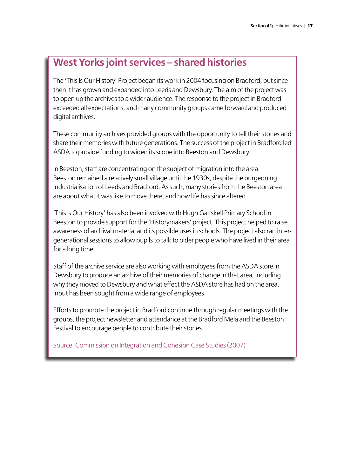#### **West Yorks joint services – shared histories**

The 'This Is Our History' Project began its work in 2004 focusing on Bradford, but since then it has grown and expanded into Leeds and Dewsbury. The aim of the project was to open up the archives to a wider audience. The response to the project in Bradford exceeded all expectations, and many community groups came forward and produced digital archives.

These community archives provided groups with the opportunity to tell their stories and share their memories with future generations. The success of the project in Bradford led ASDA to provide funding to widen its scope into Beeston and Dewsbury.

In Beeston, staff are concentrating on the subject of migration into the area. Beeston remained a relatively small village until the 1930s, despite the burgeoning industrialisation of Leeds and Bradford. As such, many stories from the Beeston area are about what it was like to move there, and how life has since altered.

'This Is Our History' has also been involved with Hugh Gaitskell Primary School in Beeston to provide support for the 'Historymakers' project. This project helped to raise awareness of archival material and its possible uses in schools. The project also ran intergenerational sessions to allow pupils to talk to older people who have lived in their area for a long time.

Staff of the archive service are also working with employees from the ASDA store in Dewsbury to produce an archive of their memories of change in that area, including why they moved to Dewsbury and what effect the ASDA store has had on the area. Input has been sought from a wide range of employees.

Efforts to promote the project in Bradford continue through regular meetings with the groups, the project newsletter and attendance at the Bradford Mela and the Beeston Festival to encourage people to contribute their stories.

Source: Commission on Integration and Cohesion Case Studies (2007)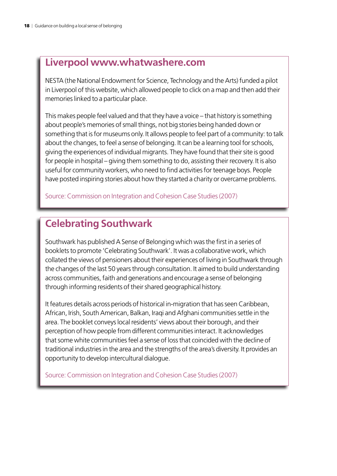#### **Liverpool www.whatwashere.com**

NESTA (the National Endowment for Science, Technology and the Arts) funded a pilot in Liverpool of this website, which allowed people to click on a map and then add their memories linked to a particular place.

This makes people feel valued and that they have a voice – that history is something about people's memories of small things, not big stories being handed down or something that is for museums only. It allows people to feel part of a community: to talk about the changes, to feel a sense of belonging. It can be a learning tool for schools, giving the experiences of individual migrants. They have found that their site is good for people in hospital – giving them something to do, assisting their recovery. It is also useful for community workers, who need to find activities for teenage boys. People have posted inspiring stories about how they started a charity or overcame problems.

Source: Commission on Integration and Cohesion Case Studies (2007)

#### **Celebrating Southwark**

Southwark has published A Sense of Belonging which was the first in a series of booklets to promote 'Celebrating Southwark'. It was a collaborative work, which collated the views of pensioners about their experiences of living in Southwark through the changes of the last 50 years through consultation. It aimed to build understanding across communities, faith and generations and encourage a sense of belonging through informing residents of their shared geographical history.

It features details across periods of historical in-migration that has seen Caribbean, African, Irish, South American, Balkan, Iraqi and Afghani communities settle in the area. The booklet conveys local residents' views about their borough, and their perception of how people from different communities interact. It acknowledges that some white communities feel a sense of loss that coincided with the decline of traditional industries in the area and the strengths of the area's diversity. It provides an opportunity to develop intercultural dialogue.

Source: Commission on Integration and Cohesion Case Studies (2007)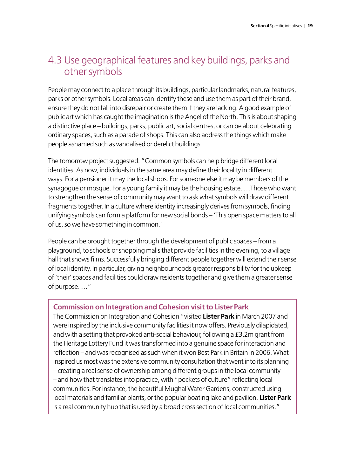#### <span id="page-18-0"></span>4.3 Use geographical features and key buildings, parks and other symbols

People may connect to a place through its buildings, particular landmarks, natural features, parks or other symbols. Local areas can identify these and use them as part of their brand, ensure they do not fall into disrepair or create them if they are lacking. A good example of public art which has caught the imagination is the Angel of the North. This is about shaping a distinctive place – buildings, parks, public art, social centres; or can be about celebrating ordinary spaces, such as a parade of shops. This can also address the things which make people ashamed such as vandalised or derelict buildings.

The tomorrow project suggested: "Common symbols can help bridge different local identities. As now, individuals in the same area may define their locality in different ways. For a pensioner it may the local shops. For someone else it may be members of the synagogue or mosque. For a young family it may be the housing estate. …Those who want to strengthen the sense of community may want to ask what symbols will draw different fragments together. In a culture where identity increasingly derives from symbols, finding unifying symbols can form a platform for new social bonds – 'This open space matters to all of us, so we have something in common.'

People can be brought together through the development of public spaces – from a playground, to schools or shopping malls that provide facilities in the evening, to a village hall that shows films. Successfully bringing different people together will extend their sense of local identity. In particular, giving neighbourhoods greater responsibility for the upkeep of 'their' spaces and facilities could draw residents together and give them a greater sense of purpose. …"

#### **Commission on Integration and Cohesion visit to Lister Park**

The Commission on Integration and Cohesion "visited **Lister Park** in March 2007 and were inspired by the inclusive community facilities it now offers. Previously dilapidated, and with a setting that provoked anti-social behaviour, following a £3.2m grant from the Heritage Lottery Fund it was transformed into a genuine space for interaction and reflection – and was recognised as such when it won Best Park in Britain in 2006. What inspired us most was the extensive community consultation that went into its planning – creating a real sense of ownership among different groups in the local community – and how that translates into practice, with "pockets of culture" reflecting local communities. For instance, the beautiful Mughal Water Gardens, constructed using local materials and familiar plants, or the popular boating lake and pavilion. **Lister Park** is a real community hub that is used by a broad cross section of local communities."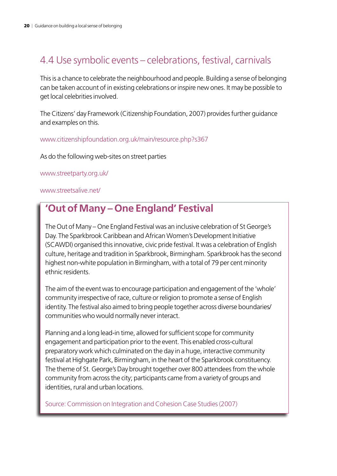### <span id="page-19-0"></span>4.4 Use symbolic events – celebrations, festival, carnivals

This is a chance to celebrate the neighbourhood and people. Building a sense of belonging can be taken account of in existing celebrations or inspire new ones. It may be possible to get local celebrities involved.

The Citizens' day Framework (Citizenship Foundation, 2007) provides further guidance and examples on this.

www.citizenshipfoundation.org.uk/main/resource.php?s367

As do the following web-sites on street parties

www.streetparty.org.uk/

www.streetsalive.net/

#### **'Out of Many – One England' Festival**

The Out of Many – One England Festival was an inclusive celebration of St George's Day. The Sparkbrook Caribbean and African Women's Development Initiative (SCAWDI) organised this innovative, civic pride festival. It was a celebration of English culture, heritage and tradition in Sparkbrook, Birmingham. Sparkbrook has the second highest non-white population in Birmingham, with a total of 79 per cent minority ethnic residents.

The aim of the event was to encourage participation and engagement of the 'whole' community irrespective of race, culture or religion to promote a sense of English identity. The festival also aimed to bring people together across diverse boundaries/ communities who would normally never interact.

Planning and a long lead-in time, allowed for sufficient scope for community engagement and participation prior to the event. This enabled cross-cultural preparatory work which culminated on the day in a huge, interactive community festival at Highgate Park, Birmingham, in the heart of the Sparkbrook constituency. The theme of St. George's Day brought together over 800 attendees from the whole community from across the city; participants came from a variety of groups and identities, rural and urban locations.

Source: Commission on Integration and Cohesion Case Studies (2007)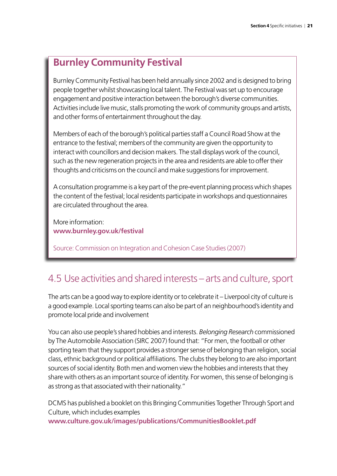#### <span id="page-20-0"></span>**Burnley Community Festival**

Burnley Community Festival has been held annually since 2002 and is designed to bring people together whilst showcasing local talent. The Festival was set up to encourage engagement and positive interaction between the borough's diverse communities. Activities include live music, stalls promoting the work of community groups and artists, and other forms of entertainment throughout the day.

Members of each of the borough's political parties staff a Council Road Show at the entrance to the festival; members of the community are given the opportunity to interact with councillors and decision makers. The stall displays work of the council, such as the new regeneration projects in the area and residents are able to offer their thoughts and criticisms on the council and make suggestions for improvement.

A consultation programme is a key part of the pre-event planning process which shapes the content of the festival; local residents participate in workshops and questionnaires are circulated throughout the area.

More information: **www.burnley.gov.uk/festival**

Source: Commission on Integration and Cohesion Case Studies (2007)

#### 4.5 Use activities and shared interests – arts and culture, sport

The arts can be a good way to explore identity or to celebrate it – Liverpool city of culture is a good example. Local sporting teams can also be part of an neighbourhood's identity and promote local pride and involvement

You can also use people's shared hobbies and interests. *Belonging Research* commissioned by The Automobile Association (SIRC 2007) found that: "For men, the football or other sporting team that they support provides a stronger sense of belonging than religion, social class, ethnic background or political affiliations. The clubs they belong to are also important sources of social identity. Both men and women view the hobbies and interests that they share with others as an important source of identity. For women, this sense of belonging is as strong as that associated with their nationality."

DCMS has published a booklet on this Bringing Communities Together Through Sport and Culture, which includes examples **www.culture.gov.uk/images/publications/CommunitiesBooklet.pdf**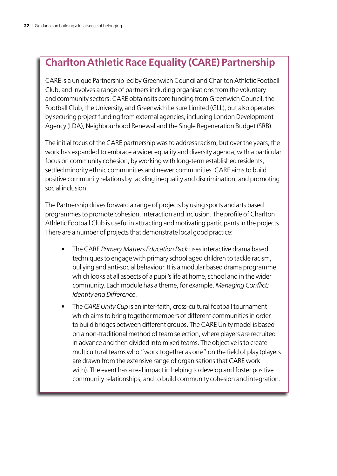### **Charlton Athletic Race Equality (CARE) Partnership**

CARE is a unique Partnership led by Greenwich Council and Charlton Athletic Football Club, and involves a range of partners including organisations from the voluntary and community sectors. CARE obtains its core funding from Greenwich Council, the Football Club, the University, and Greenwich Leisure Limited (GLL), but also operates by securing project funding from external agencies, including London Development Agency (LDA), Neighbourhood Renewal and the Single Regeneration Budget (SRB).

The initial focus of the CARE partnership was to address racism, but over the years, the work has expanded to embrace a wider equality and diversity agenda, with a particular focus on community cohesion, by working with long-term established residents, settled minority ethnic communities and newer communities. CARE aims to build positive community relations by tackling inequality and discrimination, and promoting social inclusion.

The Partnership drives forward a range of projects by using sports and arts based programmes to promote cohesion, interaction and inclusion. The profile of Charlton Athletic Football Club is useful in attracting and motivating participants in the projects. There are a number of projects that demonstrate local good practice:

- The CARE *Primary Matters Education Pack* uses interactive drama based techniques to engage with primary school aged children to tackle racism, bullying and anti-social behaviour. It is a modular based drama programme which looks at all aspects of a pupil's life at home, school and in the wider community. Each module has a theme, for example, *Managing Conflict; Identity and Difference*.
- The *CARE Unity Cup* is an inter-faith, cross-cultural football tournament which aims to bring together members of different communities in order to build bridges between different groups. The CARE Unity model is based on a non-traditional method of team selection, where players are recruited in advance and then divided into mixed teams. The objective is to create multicultural teams who "work together as one" on the field of play (players are drawn from the extensive range of organisations that CARE work with). The event has a real impact in helping to develop and foster positive community relationships, and to build community cohesion and integration.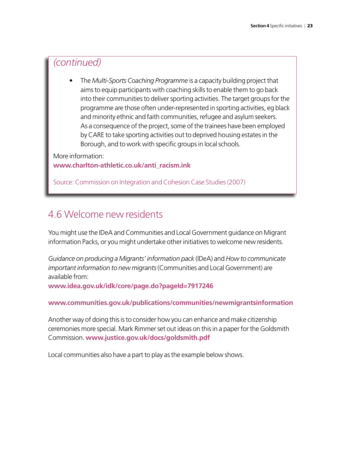#### <span id="page-22-0"></span>*(continued)*

The *Multi-Sports Coaching Programme* is a capacity building project that aims to equip participants with coaching skills to enable them to go back into their communities to deliver sporting activities. The target groups for the programme are those often under-represented in sporting activities, eg black and minority ethnic and faith communities, refugee and asylum seekers. As a consequence of the project, some of the trainees have been employed by CARE to take sporting activities out to deprived housing estates in the Borough, and to work with specific groups in local schools.

More information:

**www.charlton-athletic.co.uk/anti\_racism.ink**

Source: Commission on Integration and Cohesion Case Studies (2007)

#### 4.6 Welcome new residents

You might use the IDeA and Communities and Local Government guidance on Migrant information Packs, or you might undertake other initiatives to welcome new residents.

*Guidance on producing a Migrants' information pack* (IDeA) and *How to communicate important information to new migrants* (Communities and Local Government) are available from:

**www.idea.gov.uk/idk/core/page.do?pageId=7917246**

#### **www.communities.gov.uk/publications/communities/newmigrantsinformation**

Another way of doing this is to consider how you can enhance and make citizenship ceremonies more special. Mark Rimmer set out ideas on this in a paper for the Goldsmith Commission. **www.justice.gov.uk/docs/goldsmith.pdf**

Local communities also have a part to play as the example below shows.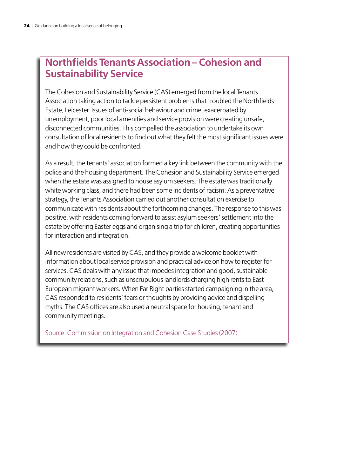#### **Northfields Tenants Association – Cohesion and Sustainability Service**

The Cohesion and Sustainability Service (CAS) emerged from the local Tenants Association taking action to tackle persistent problems that troubled the Northfields Estate, Leicester. Issues of anti-social behaviour and crime, exacerbated by unemployment, poor local amenities and service provision were creating unsafe, disconnected communities. This compelled the association to undertake its own consultation of local residents to find out what they felt the most significant issues were and how they could be confronted.

As a result, the tenants' association formed a key link between the community with the police and the housing department. The Cohesion and Sustainability Service emerged when the estate was assigned to house asylum seekers. The estate was traditionally white working class, and there had been some incidents of racism. As a preventative strategy, the Tenants Association carried out another consultation exercise to communicate with residents about the forthcoming changes. The response to this was positive, with residents coming forward to assist asylum seekers' settlement into the estate by offering Easter eggs and organising a trip for children, creating opportunities for interaction and integration.

All new residents are visited by CAS, and they provide a welcome booklet with information about local service provision and practical advice on how to register for services. CAS deals with any issue that impedes integration and good, sustainable community relations, such as unscrupulous landlords charging high rents to East European migrant workers. When Far Right parties started campaigning in the area, CAS responded to residents' fears or thoughts by providing advice and dispelling myths. The CAS offices are also used a neutral space for housing, tenant and community meetings.

Source: Commission on Integration and Cohesion Case Studies (2007)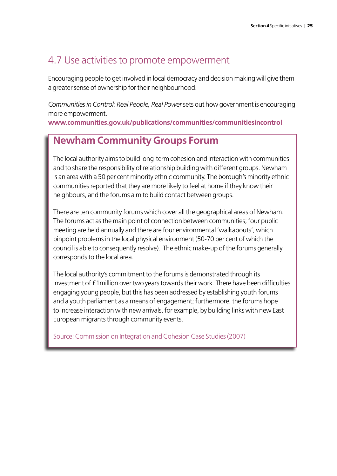#### <span id="page-24-0"></span>4.7 Use activities to promote empowerment

Encouraging people to get involved in local democracy and decision making will give them a greater sense of ownership for their neighbourhood.

*Communities in Control: Real People, Real Power*sets out how government is encouraging more empowerment.

**www.communities.gov.uk/publications/communities/communitiesincontrol**

### **Newham Community Groups Forum**

The local authority aims to build long-term cohesion and interaction with communities and to share the responsibility of relationship building with different groups. Newham is an area with a 50 per cent minority ethnic community. The borough's minority ethnic communities reported that they are more likely to feel at home if they know their neighbours, and the forums aim to build contact between groups.

There are ten community forums which cover all the geographical areas of Newham. The forums act as the main point of connection between communities; four public meeting are held annually and there are four environmental 'walkabouts', which pinpoint problems in the local physical environment (50-70 per cent of which the council is able to consequently resolve). The ethnic make-up of the forums generally corresponds to the local area.

The local authority's commitment to the forums is demonstrated through its investment of £1million over two years towards their work. There have been difficulties engaging young people, but this has been addressed by establishing youth forums and a youth parliament as a means of engagement; furthermore, the forums hope to increase interaction with new arrivals, for example, by building links with new East European migrants through community events.

Source: Commission on Integration and Cohesion Case Studies (2007)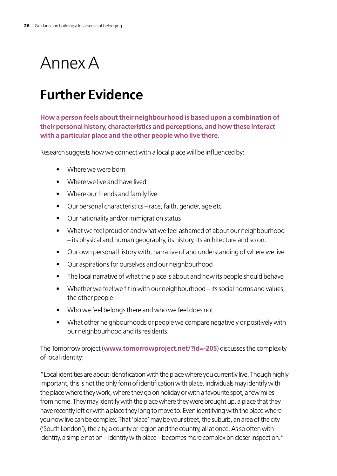# <span id="page-25-0"></span>Annex A

## **Further Evidence**

**How a person feels about their neighbourhood is based upon a combination of their personal history, characteristics and perceptions, and how these interact with a particular place and the other people who live there.**

Research suggests how we connect with a local place will be influenced by:

- Where we were born
- Where we live and have lived
- Where our friends and family live
- Our personal characteristics race, faith, gender, age etc
- • Our nationality and/or immigration status
- What we feel proud of and what we feel ashamed of about our neighbourhood – its physical and human geography, its history, its architecture and so on.
- Our own personal history with, narrative of and understanding of where we live
- Our aspirations for ourselves and our neighbourhood
- The local narrative of what the place is about and how its people should behave
- Whether we feel we fit in with our neighbourhood its social norms and values, the other people
- Who we feel belongs there and who we feel does not
- What other neighbourhoods or people we compare negatively or positively with our neighbourhood and its residents.

The Tomorrow project (**www.tomorrowproject.net/?id=-205**) discusses the complexity of local identity:

"Local identities are about identification with the place where you currently live. Though highly important, this is not the only form of identification with place. Individuals may identify with the place where they work, where they go on holiday or with a favourite spot, a few miles from home. They may identify with the place where they were brought up, a place that they have recently left or with a place they long to move to. Even identifying with the place where you now live can be complex. That 'place' may be your street, the suburb, an area of the city ('South London'), the city, a county or region and the country, all at once. As so often with identity, a simple notion – identity with place – becomes more complex on closer inspection."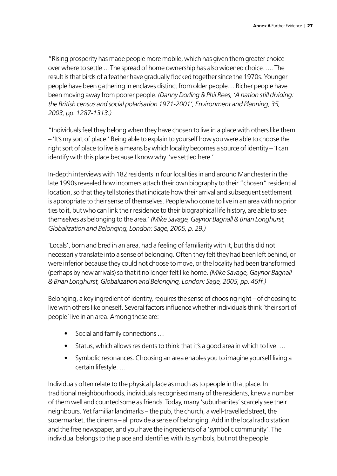"Rising prosperity has made people more mobile, which has given them greater choice over where to settle …The spread of home ownership has also widened choice….. The result is that birds of a feather have gradually flocked together since the 1970s. Younger people have been gathering in enclaves distinct from older people… Richer people have been moving away from poorer people. *(Danny Dorling & Phil Rees, 'A nation still dividing: the British census and social polarisation 1971-2001', Environment and Planning, 35, 2003, pp. 1287-1313.)*

"Individuals feel they belong when they have chosen to live in a place with others like them – 'It's my sort of place.' Being able to explain to yourself how you were able to choose the right sort of place to live is a means by which locality becomes a source of identity – 'I can identify with this place because I know why I've settled here.'

In-depth interviews with 182 residents in four localities in and around Manchester in the late 1990s revealed how incomers attach their own biography to their "chosen" residential location, so that they tell stories that indicate how their arrival and subsequent settlement is appropriate to their sense of themselves. People who come to live in an area with no prior ties to it, but who can link their residence to their biographical life history, are able to see themselves as belonging to the area.' *(Mike Savage, Gaynor Bagnall & Brian Longhurst, Globalization and Belonging, London: Sage, 2005, p. 29.)*

'Locals', born and bred in an area, had a feeling of familiarity with it, but this did not necessarily translate into a sense of belonging. Often they felt they had been left behind, or were inferior because they could not choose to move, or the locality had been transformed (perhaps by new arrivals) so that it no longer felt like home. *(Mike Savage, Gaynor Bagnall & Brian Longhurst, Globalization and Belonging, London: Sage, 2005, pp. 45ff.)*

Belonging, a key ingredient of identity, requires the sense of choosing right – of choosing to live with others like oneself. Several factors influence whether individuals think 'their sort of people' live in an area. Among these are:

- Social and family connections ...
- Status, which allows residents to think that it's a good area in which to live. ...
- Symbolic resonances. Choosing an area enables you to imagine yourself living a certain lifestyle. …

Individuals often relate to the physical place as much as to people in that place. In traditional neighbourhoods, individuals recognised many of the residents, knew a number of them well and counted some as friends. Today, many 'suburbanites' scarcely see their neighbours. Yet familiar landmarks – the pub, the church, a well-travelled street, the supermarket, the cinema – all provide a sense of belonging. Add in the local radio station and the free newspaper, and you have the ingredients of a 'symbolic community'. The individual belongs to the place and identifies with its symbols, but not the people.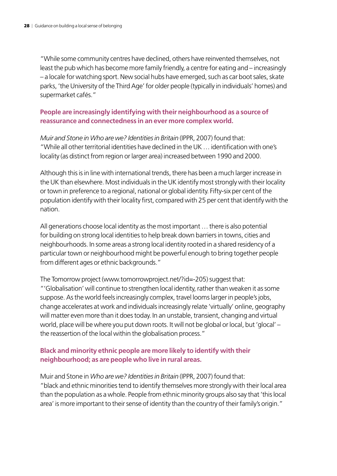"While some community centres have declined, others have reinvented themselves, not least the pub which has become more family friendly, a centre for eating and – increasingly – a locale for watching sport. New social hubs have emerged, such as car boot sales, skate parks, 'the University of the Third Age' for older people (typically in individuals' homes) and supermarket cafés."

#### **People are increasingly identifying with their neighbourhood as a source of reassurance and connectedness in an ever more complex world.**

*Muir and Stone in Who are we? Identities in Britain* (IPPR, 2007) found that: "While all other territorial identities have declined in the UK … identification with one's locality (as distinct from region or larger area) increased between 1990 and 2000.

Although this is in line with international trends, there has been a much larger increase in the UK than elsewhere. Most individuals in the UK identify most strongly with their locality or town in preference to a regional, national or global identity. Fifty-six per cent of the population identify with their locality first, compared with 25 per cent that identify with the nation.

All generations choose local identity as the most important … there is also potential for building on strong local identities to help break down barriers in towns, cities and neighbourhoods. In some areas a strong local identity rooted in a shared residency of a particular town or neighbourhood might be powerful enough to bring together people from different ages or ethnic backgrounds."

The Tomorrow project (www.tomorrowproject.net/?id=-205) suggest that: "'Globalisation' will continue to strengthen local identity, rather than weaken it as some suppose. As the world feels increasingly complex, travel looms larger in people's jobs, change accelerates at work and individuals increasingly relate 'virtually' online, geography will matter even more than it does today. In an unstable, transient, changing and virtual world, place will be where you put down roots. It will not be global or local, but 'glocal' – the reassertion of the local within the globalisation process."

#### **Black and minority ethnic people are more likely to identify with their neighbourhood; as are people who live in rural areas.**

Muir and Stone in *Who are we? Identities in Britain* (IPPR, 2007) found that: "black and ethnic minorities tend to identify themselves more strongly with their local area than the population as a whole. People from ethnic minority groups also say that 'this local area' is more important to their sense of identity than the country of their family's origin."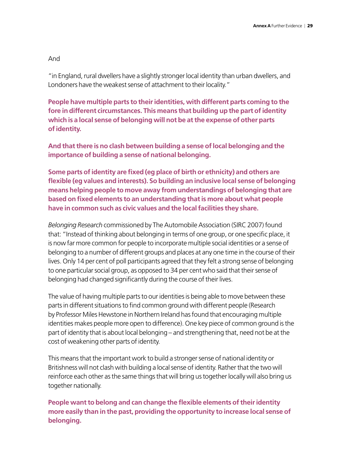#### And

"in England, rural dwellers have a slightly stronger local identity than urban dwellers, and Londoners have the weakest sense of attachment to their locality."

**People have multiple parts to their identities, with different parts coming to the fore in different circumstances. This means that building up the part of identity which is a local sense of belonging will not be at the expense of other parts ofidentity.**

**And that there is no clash between building a sense of local belonging and the importance of building a sense of national belonging.**

**Some parts of identity are fixed (eg place of birth or ethnicity) and others are flexible (eg values and interests). So building an inclusive local sense of belonging means helping people to move away from understandings of belonging that are based on fixed elements to an understanding that is more about what people have in common such as civic values and the local facilities they share.**

*Belonging Research* commissioned by The Automobile Association (SIRC 2007) found that: "Instead of thinking about belonging in terms of one group, or one specific place, it is now far more common for people to incorporate multiple social identities or a sense of belonging to a number of different groups and places at any one time in the course of their lives. Only 14 per cent of poll participants agreed that they felt a strong sense of belonging to one particular social group, as opposed to 34 per cent who said that their sense of belonging had changed significantly during the course of their lives.

The value of having multiple parts to our identities is being able to move between these parts in different situations to find common ground with different people (Research by Professor Miles Hewstone in Northern Ireland has found that encouraging multiple identities makes people more open to difference). One key piece of common ground is the part of identity that is about local belonging – and strengthening that, need not be at the cost of weakening other parts of identity.

This means that the important work to build a stronger sense of national identity or Britishness will not clash with building a local sense of identity. Rather that the two will reinforce each other as the same things that will bring us together locally will also bring us together nationally.

**People want to belong and can change the flexible elements of their identity more easily than in the past, providing the opportunity to increase local sense of belonging.**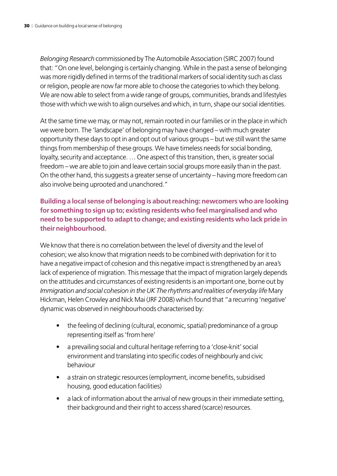*Belonging Research* commissioned by The Automobile Association (SIRC 2007) found that: "On one level, belonging is certainly changing. While in the past a sense of belonging was more rigidly defined in terms of the traditional markers of social identity such as class or religion, people are now far more able to choose the categories to which they belong. We are now able to select from a wide range of groups, communities, brands and lifestyles those with which we wish to align ourselves and which, in turn, shape our social identities.

At the same time we may, or may not, remain rooted in our families or in the place in which we were born. The 'landscape' of belonging may have changed – with much greater opportunity these days to opt in and opt out of various groups – but we still want the same things from membership of these groups. We have timeless needs for social bonding, loyalty, security and acceptance. … One aspect of this transition, then, is greater social freedom – we are able to join and leave certain social groups more easily than in the past. On the other hand, this suggests a greater sense of uncertainty – having more freedom can also involve being uprooted and unanchored."

#### **Building a local sense of belonging is about reaching: newcomers who are looking for something to sign up to; existing residents who feel marginalised and who need to be supported to adapt to change; and existing residents who lack pride in their neighbourhood.**

We know that there is no correlation between the level of diversity and the level of cohesion; we also know that migration needs to be combined with deprivation for it to have a negative impact of cohesion and this negative impact is strengthened by an area's lack of experience of migration. This message that the impact of migration largely depends on the attitudes and circumstances of existing residents is an important one, borne out by *Immigration and social cohesion in the UK The rhythms and realities of everyday life* Mary Hickman, Helen Crowley and Nick Mai (JRF 2008) which found that "a recurring 'negative' dynamic was observed in neighbourhoods characterised by:

- the feeling of declining (cultural, economic, spatial) predominance of a group representing itself as 'from here'
- a prevailing social and cultural heritage referring to a 'close-knit' social environment and translating into specific codes of neighbourly and civic behaviour
- a strain on strategic resources (employment, income benefits, subsidised housing, good education facilities)
- a lack of information about the arrival of new groups in their immediate setting, their background and their right to access shared (scarce) resources.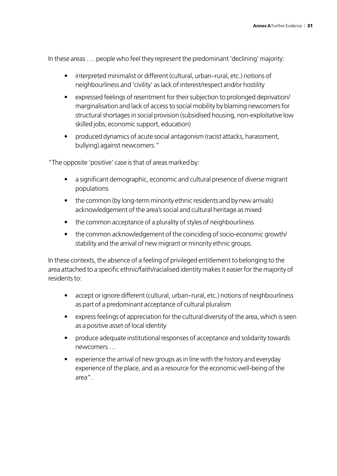In these areas …. people who feel they represent the predominant 'declining' majority:

- interpreted minimalist or different (cultural, urban–rural, etc.) notions of neighbourliness and 'civility' as lack of interest/respect and/or hostility
- expressed feelings of resentment for their subjection to prolonged deprivation/ marginalisation and lack of access to social mobility by blaming newcomers for structural shortages in social provision (subsidised housing, non-exploitative low skilled jobs, economic support, education)
- produced dynamics of acute social antagonism (racist attacks, harassment, bullying) against newcomers."

"The opposite 'positive' case is that of areas marked by:

- a significant demographic, economic and cultural presence of diverse migrant populations
- the common (by long-term minority ethnic residents and by new arrivals) acknowledgement of the area's social and cultural heritage as mixed
- the common acceptance of a plurality of styles of neighbourliness
- the common acknowledgement of the coinciding of socio-economic growth/ stability and the arrival of new migrant or minority ethnic groups.

In these contexts, the absence of a feeling of privileged entitlement to belonging to the area attached to a specific ethnic/faith/racialised identity makes it easier for the majority of residents to:

- accept or ignore different (cultural, urban–rural, etc.) notions of neighbourliness as part of a predominant acceptance of cultural pluralism
- express feelings of appreciation for the cultural diversity of the area, which is seen as a positive asset of local identity
- produce adequate institutional responses of acceptance and solidarity towards newcomers …
- experience the arrival of new groups as in line with the history and everyday experience of the place, and as a resource for the economic well-being of the area".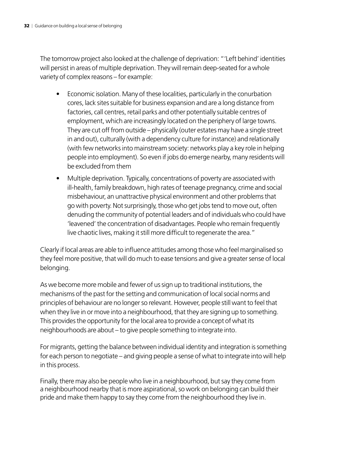The tomorrow project also looked at the challenge of deprivation: "'Left behind' identities will persist in areas of multiple deprivation. They will remain deep-seated for a whole variety of complex reasons – for example:

- Economic isolation. Many of these localities, particularly in the conurbation cores, lack sites suitable for business expansion and are a long distance from factories, call centres, retail parks and other potentially suitable centres of employment, which are increasingly located on the periphery of large towns. They are cut off from outside – physically (outer estates may have a single street in and out), culturally (with a dependency culture for instance) and relationally (with few networks into mainstream society: networks play a key role in helping people into employment). So even if jobs do emerge nearby, many residents will be excluded from them
- Multiple deprivation. Typically, concentrations of poverty are associated with ill-health, family breakdown, high rates of teenage pregnancy, crime and social misbehaviour, an unattractive physical environment and other problems that go with poverty. Not surprisingly, those who get jobs tend to move out, often denuding the community of potential leaders and of individuals who could have 'leavened' the concentration of disadvantages. People who remain frequently live chaotic lives, making it still more difficult to regenerate the area."

Clearly if local areas are able to influence attitudes among those who feel marginalised so they feel more positive, that will do much to ease tensions and give a greater sense of local belonging.

As we become more mobile and fewer of us sign up to traditional institutions, the mechanisms of the past for the setting and communication of local social norms and principles of behaviour are no longer so relevant. However, people still want to feel that when they live in or move into a neighbourhood, that they are signing up to something. This provides the opportunity for the local area to provide a concept of what its neighbourhoods are about – to give people something to integrate into.

For migrants, getting the balance between individual identity and integration is something for each person to negotiate – and giving people a sense of what to integrate into will help in this process.

Finally, there may also be people who live in a neighbourhood, but say they come from a neighbourhood nearby that is more aspirational, so work on belonging can build their pride and make them happy to say they come from the neighbourhood they live in.